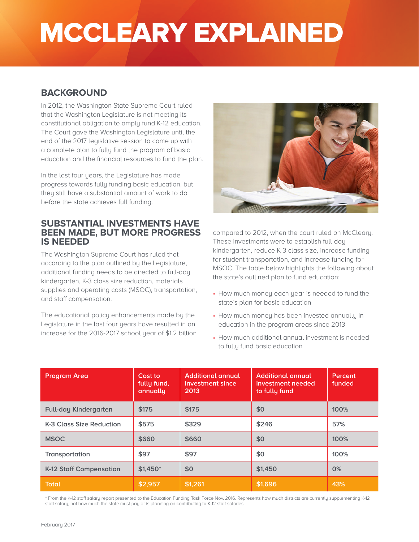# MCCLEARY EXPLAINED

## **BACKGROUND**

In 2012, the Washington State Supreme Court ruled that the Washington Legislature is not meeting its constitutional obligation to amply fund K-12 education. The Court gave the Washington Legislature until the end of the 2017 legislative session to come up with a complete plan to fully fund the program of basic education and the financial resources to fund the plan.

In the last four years, the Legislature has made progress towards fully funding basic education, but they still have a substantial amount of work to do before the state achieves full funding.

### **SUBSTANTIAL INVESTMENTS HAVE BEEN MADE, BUT MORE PROGRESS IS NEEDED**

The Washington Supreme Court has ruled that according to the plan outlined by the Legislature, additional funding needs to be directed to full-day kindergarten, K-3 class size reduction, materials supplies and operating costs (MSOC), transportation, and staff compensation.

The educational policy enhancements made by the Legislature in the last four years have resulted in an increase for the 2016-2017 school year of \$1.2 billion



compared to 2012, when the court ruled on McCleary. These investments were to establish full-day kindergarten, reduce K-3 class size, increase funding for student transportation, and increase funding for MSOC. The table below highlights the following about the state's outlined plan to fund education:

- How much money each year is needed to fund the state's plan for basic education
- How much money has been invested annually in education in the program areas since 2013
- How much additional annual investment is needed to fully fund basic education

| <b>Program Area</b>            | Cost to<br>fully fund,<br>annually | <b>Additional annual</b><br>investment since<br>2013 | <b>Additional annual</b><br>investment needed<br>to fully fund | Percent<br>funded |
|--------------------------------|------------------------------------|------------------------------------------------------|----------------------------------------------------------------|-------------------|
| <b>Full-day Kindergarten</b>   | \$175                              | \$175                                                | \$0                                                            | 100%              |
| K-3 Class Size Reduction       | \$575                              | \$329                                                | \$246                                                          | 57%               |
| <b>MSOC</b>                    | \$660                              | \$660                                                | \$0                                                            | 100%              |
| Transportation                 | \$97                               | \$97                                                 | \$0                                                            | 100%              |
| <b>K-12 Staff Compensation</b> | $$1.450*$                          | \$0                                                  | \$1,450                                                        | 0%                |
| <b>Total</b>                   | \$2,957                            | \$1,261                                              | \$1,696                                                        | 43%               |

\* From the K-12 staff salary report presented to the Education Funding Task Force Nov. 2016. Represents how much districts are currently supplementing K-12 staff salary, not how much the state must pay or is planning on contributing to K-12 staff salaries.